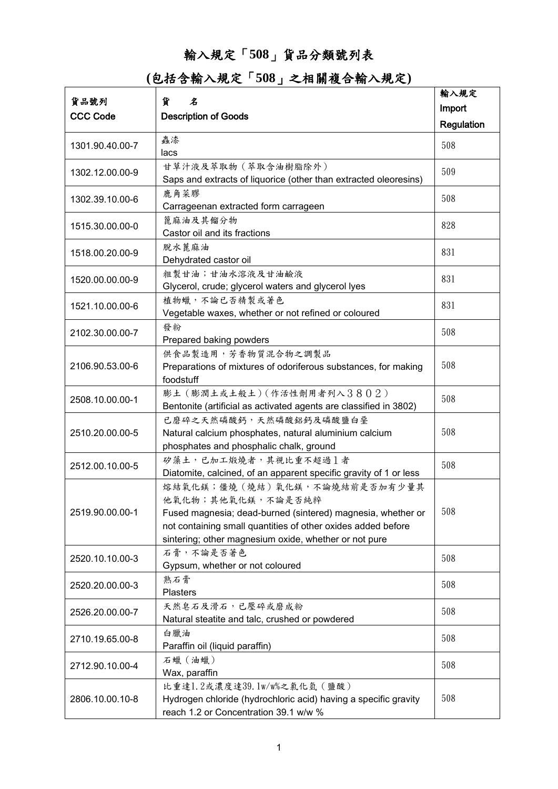## 輸入規定「**508**」貨品分類號列表

**(**包括含輸入規定「**508**」之相關複合輸入規定**)**

|                 |                                                                                                                                                                                                                                           | 輸入規定       |
|-----------------|-------------------------------------------------------------------------------------------------------------------------------------------------------------------------------------------------------------------------------------------|------------|
| 貨品號列            | 貨<br>名                                                                                                                                                                                                                                    | Import     |
| <b>CCC Code</b> | <b>Description of Goods</b>                                                                                                                                                                                                               | Regulation |
| 1301.90.40.00-7 | 蟲漆<br>lacs                                                                                                                                                                                                                                | 508        |
| 1302.12.00.00-9 | 甘草汁液及萃取物 (萃取含油樹脂除外)<br>Saps and extracts of liquorice (other than extracted oleoresins)                                                                                                                                                   | 509        |
| 1302.39.10.00-6 | 鹿角菜膠<br>Carrageenan extracted form carrageen                                                                                                                                                                                              | 508        |
| 1515.30.00.00-0 | 篦麻油及其餾分物<br>Castor oil and its fractions                                                                                                                                                                                                  | 828        |
| 1518.00.20.00-9 | 脫水蓖麻油<br>Dehydrated castor oil                                                                                                                                                                                                            | 831        |
| 1520.00.00.00-9 | 粗製甘油;甘油水溶液及甘油鹼液<br>Glycerol, crude; glycerol waters and glycerol lyes                                                                                                                                                                     | 831        |
| 1521.10.00.00-6 | 植物蠟,不論已否精製或著色<br>Vegetable waxes, whether or not refined or coloured                                                                                                                                                                      | 831        |
| 2102.30.00.00-7 | 發粉<br>Prepared baking powders                                                                                                                                                                                                             | 508        |
| 2106.90.53.00-6 | 供食品製造用,芳香物質混合物之調製品<br>Preparations of mixtures of odoriferous substances, for making<br>foodstuff                                                                                                                                         | 508        |
| 2508.10.00.00-1 | 膨土 (膨潤土或土般土) (作活性劑用者列入3802)<br>Bentonite (artificial as activated agents are classified in 3802)                                                                                                                                          | 508        |
| 2510.20.00.00-5 | 已磨碎之天然磷酸鈣,天然磷酸鋁鈣及磷酸鹽白堊<br>Natural calcium phosphates, natural aluminium calcium<br>phosphates and phosphalic chalk, ground                                                                                                                | 508        |
| 2512.00.10.00-5 | 矽藻土,已加工煅燒者,其視比重不超過1者<br>Diatomite, calcined, of an apparent specific gravity of 1 or less                                                                                                                                                 | 508        |
| 2519.90.00.00-1 | 熔結氧化鎂;僵燒(燒結)氧化鎂,不論燒結前是否加有少量其<br>他氧化物;其他氧化鎂,不論是否純粹<br>Fused magnesia; dead-burned (sintered) magnesia, whether or<br>not containing small quantities of other oxides added before<br>sintering; other magnesium oxide, whether or not pure | 508        |
| 2520.10.10.00-3 | 石膏,不論是否著色<br>Gypsum, whether or not coloured                                                                                                                                                                                              | 508        |
| 2520.20.00.00-3 | 熟石膏<br><b>Plasters</b>                                                                                                                                                                                                                    | 508        |
| 2526.20.00.00-7 | 天然皂石及滑石,已壓碎或磨成粉<br>Natural steatite and talc, crushed or powdered                                                                                                                                                                         | 508        |
| 2710.19.65.00-8 | 白臘油<br>Paraffin oil (liquid paraffin)                                                                                                                                                                                                     | 508        |
| 2712.90.10.00-4 | 石蠟 (油蠟)<br>Wax, paraffin                                                                                                                                                                                                                  | 508        |
| 2806.10.00.10-8 | 比重達1.2或濃度達39.1w/w%之氯化氫 (鹽酸)<br>Hydrogen chloride (hydrochloric acid) having a specific gravity<br>reach 1.2 or Concentration 39.1 w/w %                                                                                                   | 508        |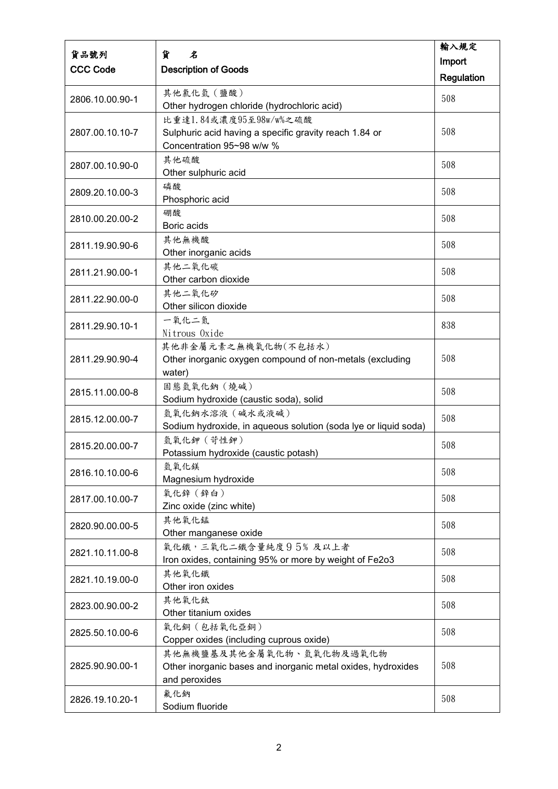|                 |                                                                 | 輸入規定              |
|-----------------|-----------------------------------------------------------------|-------------------|
| 貨品號列            | 貨<br>名                                                          | Import            |
| <b>CCC Code</b> | <b>Description of Goods</b>                                     | <b>Regulation</b> |
|                 | 其他氯化氫 (鹽酸)                                                      |                   |
| 2806.10.00.90-1 | Other hydrogen chloride (hydrochloric acid)                     | 508               |
|                 | 比重達1.84或濃度95至98w/w%之硫酸                                          |                   |
| 2807.00.10.10-7 | Sulphuric acid having a specific gravity reach 1.84 or          | 508               |
|                 | Concentration 95~98 w/w %                                       |                   |
|                 | 其他硫酸                                                            |                   |
| 2807.00.10.90-0 | Other sulphuric acid                                            | 508               |
|                 | 磷酸                                                              |                   |
| 2809.20.10.00-3 | Phosphoric acid                                                 | 508               |
|                 | 硼酸                                                              |                   |
| 2810.00.20.00-2 | Boric acids                                                     | 508               |
|                 | 其他無機酸                                                           | 508               |
| 2811.19.90.90-6 | Other inorganic acids                                           |                   |
| 2811.21.90.00-1 | 其他二氧化碳                                                          | 508               |
|                 | Other carbon dioxide                                            |                   |
| 2811.22.90.00-0 | 其他二氧化矽                                                          | 508               |
|                 | Other silicon dioxide                                           |                   |
| 2811.29.90.10-1 | 一氧化二氮                                                           | 838               |
|                 | Nitrous Oxide                                                   |                   |
|                 | 其他非金屬元素之無機氧化物(不包括水)                                             |                   |
| 2811.29.90.90-4 | Other inorganic oxygen compound of non-metals (excluding        | 508               |
|                 | water)                                                          |                   |
| 2815.11.00.00-8 | 固態氫氧化鈉 (燒碱)                                                     | 508               |
|                 | Sodium hydroxide (caustic soda), solid                          |                   |
| 2815.12.00.00-7 | 氫氧化鈉水溶液 (碱水或液碱)                                                 | 508               |
|                 | Sodium hydroxide, in aqueous solution (soda lye or liquid soda) |                   |
| 2815.20.00.00-7 | 氫氧化鉀 (苛性鉀)                                                      | 508               |
|                 | Potassium hydroxide (caustic potash)                            |                   |
| 2816.10.10.00-6 | 氫氧化鎂                                                            | 508               |
|                 | Magnesium hydroxide                                             |                   |
| 2817.00.10.00-7 | 氧化鋅 (鋅白)<br>Zinc oxide (zinc white)                             | 508               |
|                 | 其他氧化錳                                                           |                   |
| 2820.90.00.00-5 | Other manganese oxide                                           | 508               |
|                 | 氧化鐵,三氧化二鐵含量純度95%及以上者                                            |                   |
| 2821.10.11.00-8 | Iron oxides, containing 95% or more by weight of Fe2o3          | 508               |
|                 | 其他氧化鐵                                                           |                   |
| 2821.10.19.00-0 | Other iron oxides                                               | 508               |
|                 | 其他氧化鈦                                                           |                   |
| 2823.00.90.00-2 | Other titanium oxides                                           | 508               |
|                 | 氧化銅(包括氧化亞銅)                                                     |                   |
| 2825.50.10.00-6 | Copper oxides (including cuprous oxide)                         | 508               |
|                 | 其他無機鹽基及其他金屬氧化物、氫氧化物及過氧化物                                        |                   |
| 2825.90.90.00-1 | Other inorganic bases and inorganic metal oxides, hydroxides    | 508               |
|                 | and peroxides                                                   |                   |
|                 | 氟化鈉                                                             | 508               |
| 2826.19.10.20-1 | Sodium fluoride                                                 |                   |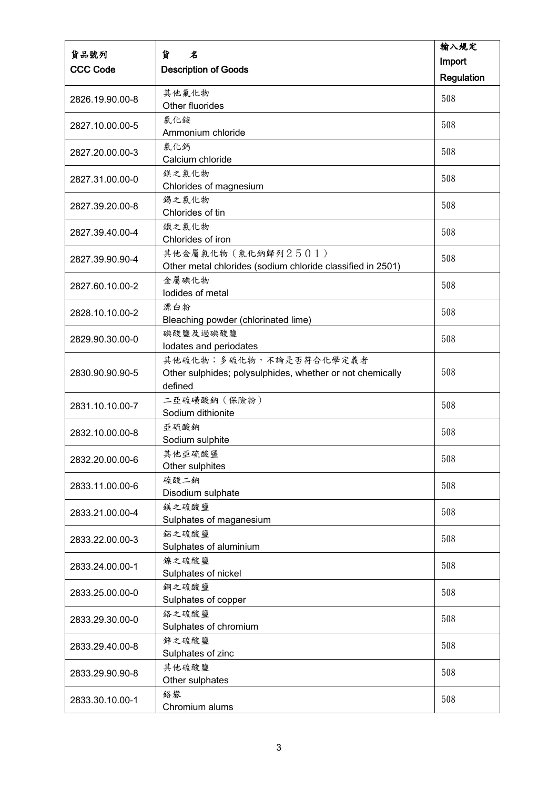| 貨品號列            | 貨<br>名                                                                                         | 輸入規定       |
|-----------------|------------------------------------------------------------------------------------------------|------------|
| <b>CCC Code</b> | <b>Description of Goods</b>                                                                    | Import     |
|                 |                                                                                                | Regulation |
| 2826.19.90.00-8 | 其他氟化物<br>Other fluorides                                                                       | 508        |
| 2827.10.00.00-5 | 氯化銨<br>Ammonium chloride                                                                       | 508        |
| 2827.20.00.00-3 | 氯化鈣<br>Calcium chloride                                                                        | 508        |
| 2827.31.00.00-0 | 鎂之氯化物<br>Chlorides of magnesium                                                                | 508        |
| 2827.39.20.00-8 | 錫之氯化物<br>Chlorides of tin                                                                      | 508        |
| 2827.39.40.00-4 | 鐵之氯化物<br>Chlorides of iron                                                                     | 508        |
| 2827.39.90.90-4 | 其他金屬氣化物(氣化鈉歸列2501)<br>Other metal chlorides (sodium chloride classified in 2501)               | 508        |
| 2827.60.10.00-2 | 金屬碘化物<br>lodides of metal                                                                      | 508        |
| 2828.10.10.00-2 | 漂白粉<br>Bleaching powder (chlorinated lime)                                                     | 508        |
| 2829.90.30.00-0 | 碘酸鹽及過碘酸鹽<br>lodates and periodates                                                             | 508        |
| 2830.90.90.90-5 | 其他硫化物;多硫化物,不論是否符合化學定義者<br>Other sulphides; polysulphides, whether or not chemically<br>defined | 508        |
| 2831.10.10.00-7 | 二亞硫磺酸鈉 (保險粉)<br>Sodium dithionite                                                              | 508        |
| 2832.10.00.00-8 | 亞硫酸鈉<br>Sodium sulphite                                                                        | 508        |
| 2832.20.00.00-6 | 其他亞硫酸鹽<br>Other sulphites                                                                      | 508        |
| 2833.11.00.00-6 | 硫酸二鈉<br>Disodium sulphate                                                                      | 508        |
| 2833.21.00.00-4 | 鎂之硫酸鹽<br>Sulphates of maganesium                                                               | 508        |
| 2833.22.00.00-3 | 鋁之硫酸鹽<br>Sulphates of aluminium                                                                | 508        |
| 2833.24.00.00-1 | 鎳之硫酸鹽<br>Sulphates of nickel                                                                   | 508        |
| 2833.25.00.00-0 | 銅之硫酸鹽<br>Sulphates of copper                                                                   | 508        |
| 2833.29.30.00-0 | 絡之硫酸鹽<br>Sulphates of chromium                                                                 | 508        |
| 2833.29.40.00-8 | 鋅之硫酸鹽<br>Sulphates of zinc                                                                     | 508        |
| 2833.29.90.90-8 | 其他硫酸鹽<br>Other sulphates                                                                       | 508        |
| 2833.30.10.00-1 | 絡礬<br>Chromium alums                                                                           | 508        |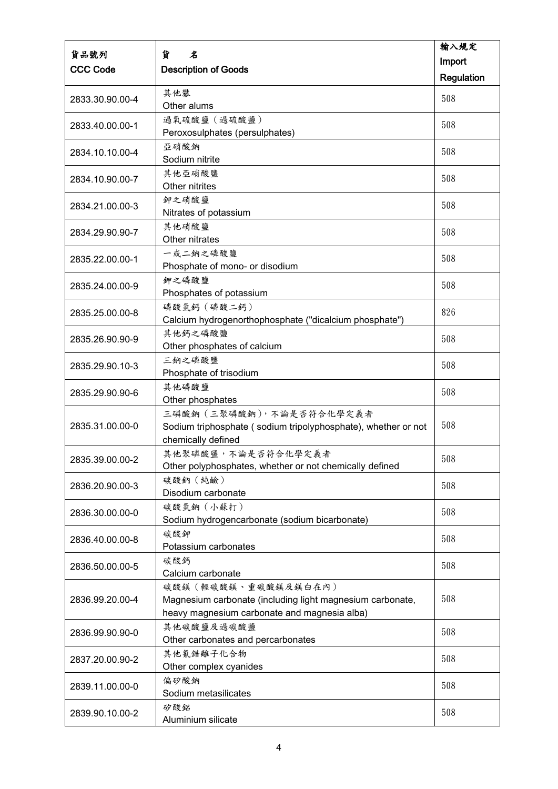|                 |                                                               | 輸入規定       |
|-----------------|---------------------------------------------------------------|------------|
| 貨品號列            | 貨<br>名                                                        | Import     |
| <b>CCC Code</b> | <b>Description of Goods</b>                                   | Regulation |
|                 | 其他礬                                                           |            |
| 2833.30.90.00-4 | Other alums                                                   | 508        |
|                 | 過氧硫酸鹽 (過硫酸鹽)                                                  |            |
| 2833.40.00.00-1 | Peroxosulphates (persulphates)                                | 508        |
|                 | 亞硝酸鈉                                                          |            |
| 2834.10.10.00-4 | Sodium nitrite                                                | 508        |
|                 | 其他亞硝酸鹽                                                        | 508        |
| 2834.10.90.00-7 | Other nitrites                                                |            |
| 2834.21.00.00-3 | 鉀之硝酸鹽                                                         | 508        |
|                 | Nitrates of potassium                                         |            |
| 2834.29.90.90-7 | 其他硝酸鹽                                                         | 508        |
|                 | Other nitrates                                                |            |
| 2835.22.00.00-1 | 一或二鈉之磷酸鹽                                                      | 508        |
|                 | Phosphate of mono- or disodium                                |            |
| 2835.24.00.00-9 | 鉀之磷酸鹽                                                         | 508        |
|                 | Phosphates of potassium                                       |            |
| 2835.25.00.00-8 | 磷酸氫鈣 (磷酸二鈣)                                                   | 826        |
|                 | Calcium hydrogenorthophosphate ("dicalcium phosphate")        |            |
| 2835.26.90.90-9 | 其他鈣之磷酸鹽                                                       | 508        |
|                 | Other phosphates of calcium                                   |            |
| 2835.29.90.10-3 | 三鈉之磷酸鹽                                                        | 508        |
|                 | Phosphate of trisodium                                        |            |
| 2835.29.90.90-6 | 其他磷酸鹽                                                         | 508        |
|                 | Other phosphates<br>三磷酸鈉 (三聚磷酸鈉), 不論是否符合化學定義者                 |            |
| 2835.31.00.00-0 | Sodium triphosphate (sodium tripolyphosphate), whether or not | 508        |
|                 | chemically defined                                            |            |
|                 | 其他聚磷酸鹽,不論是否符合化學定義者                                            |            |
| 2835.39.00.00-2 | Other polyphosphates, whether or not chemically defined       | 508        |
|                 | 碳酸鈉 (純鹼)                                                      |            |
| 2836.20.90.00-3 | Disodium carbonate                                            | 508        |
|                 | 碳酸氫鈉 (小蘇打)                                                    | 508        |
| 2836.30.00.00-0 | Sodium hydrogencarbonate (sodium bicarbonate)                 |            |
| 2836.40.00.00-8 | 碳酸鉀                                                           | 508        |
|                 | Potassium carbonates                                          |            |
| 2836.50.00.00-5 | 碳酸鈣                                                           | 508        |
|                 | Calcium carbonate                                             |            |
|                 | 碳酸鎂 (輕碳酸鎂、重碳酸鎂及鎂白在內)                                          |            |
| 2836.99.20.00-4 | Magnesium carbonate (including light magnesium carbonate,     | 508        |
|                 | heavy magnesium carbonate and magnesia alba)                  |            |
| 2836.99.90.90-0 | 其他碳酸鹽及過碳酸鹽                                                    | 508        |
|                 | Other carbonates and percarbonates                            |            |
| 2837.20.00.90-2 | 其他氰錯離子化合物                                                     | 508        |
|                 | Other complex cyanides                                        |            |
| 2839.11.00.00-0 | 偏矽酸鈉<br>Sodium metasilicates                                  | 508        |
|                 |                                                               |            |
| 2839.90.10.00-2 | 矽酸鋁<br>Aluminium silicate                                     | 508        |
|                 |                                                               |            |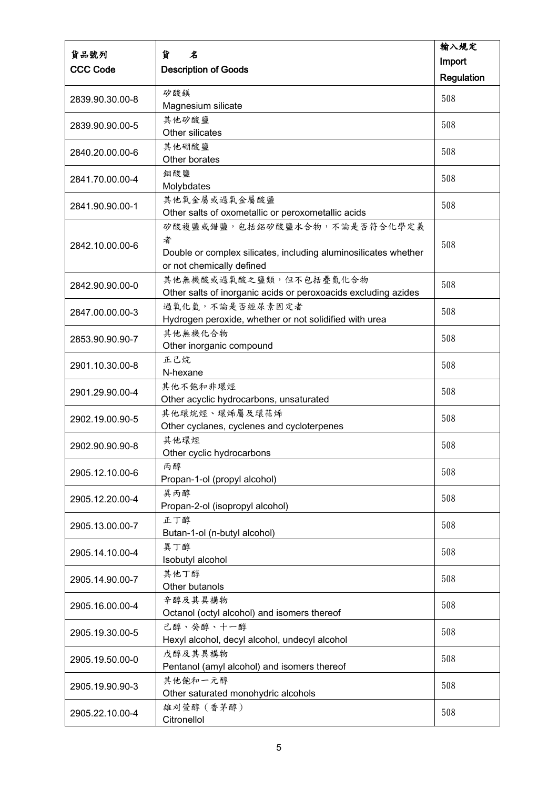| 貨品號列            | 貨<br>名                                                             | 輸入規定       |
|-----------------|--------------------------------------------------------------------|------------|
| <b>CCC Code</b> |                                                                    | Import     |
|                 | <b>Description of Goods</b>                                        | Regulation |
| 2839.90.30.00-8 | 矽酸鎂                                                                | 508        |
|                 | Magnesium silicate                                                 |            |
| 2839.90.90.00-5 | 其他矽酸鹽<br>Other silicates                                           | 508        |
|                 | 其他硼酸鹽                                                              |            |
| 2840.20.00.00-6 | Other borates                                                      | 508        |
| 2841.70.00.00-4 | 鉬酸鹽                                                                | 508        |
|                 | Molybdates                                                         |            |
| 2841.90.90.00-1 | 其他氧金屬或過氧金屬酸鹽<br>Other salts of oxometallic or peroxometallic acids | 508        |
|                 | 矽酸複鹽或錯鹽,包括鋁矽酸鹽水合物,不論是否符合化學定義                                       |            |
|                 | 者                                                                  |            |
| 2842.10.00.00-6 | Double or complex silicates, including aluminosilicates whether    | 508        |
|                 | or not chemically defined                                          |            |
|                 | 其他無機酸或過氧酸之鹽類,但不包括疊氮化合物                                             |            |
| 2842.90.90.00-0 | Other salts of inorganic acids or peroxoacids excluding azides     | 508        |
|                 | 過氧化氫,不論是否經尿素固定者                                                    |            |
| 2847.00.00.00-3 | Hydrogen peroxide, whether or not solidified with urea             | 508        |
|                 | 其他無機化合物                                                            |            |
| 2853.90.90.90-7 | Other inorganic compound                                           | 508        |
|                 | 正己烷                                                                | 508        |
| 2901.10.30.00-8 | N-hexane                                                           |            |
| 2901.29.90.00-4 | 其他不飽和非環烴                                                           | 508        |
|                 | Other acyclic hydrocarbons, unsaturated                            |            |
| 2902.19.00.90-5 | 其他環烷烴、環烯屬及環萜烯                                                      | 508        |
|                 | Other cyclanes, cyclenes and cycloterpenes                         |            |
| 2902.90.90.90-8 | 其他環烴                                                               | 508        |
|                 | Other cyclic hydrocarbons                                          |            |
| 2905.12.10.00-6 | 丙醇                                                                 | 508        |
|                 | Propan-1-ol (propyl alcohol)                                       |            |
| 2905.12.20.00-4 | 異丙醇<br>Propan-2-ol (isopropyl alcohol)                             | 508        |
|                 | 正丁醇                                                                |            |
| 2905.13.00.00-7 | Butan-1-ol (n-butyl alcohol)                                       | 508        |
|                 | 異丁醇                                                                |            |
| 2905.14.10.00-4 | Isobutyl alcohol                                                   | 508        |
|                 | 其他丁醇                                                               |            |
| 2905.14.90.00-7 | Other butanols                                                     | 508        |
|                 | 辛醇及其異構物                                                            | 508        |
| 2905.16.00.00-4 | Octanol (octyl alcohol) and isomers thereof                        |            |
|                 | 己醇、癸醇、十一醇                                                          | 508        |
| 2905.19.30.00-5 | Hexyl alcohol, decyl alcohol, undecyl alcohol                      |            |
| 2905.19.50.00-0 | 戊醇及其異構物                                                            | 508        |
|                 | Pentanol (amyl alcohol) and isomers thereof                        |            |
| 2905.19.90.90-3 | 其他飽和一元醇                                                            | 508        |
|                 | Other saturated monohydric alcohols                                |            |
| 2905.22.10.00-4 | 雄刈萱醇 (香茅醇)                                                         | 508        |
|                 | Citronellol                                                        |            |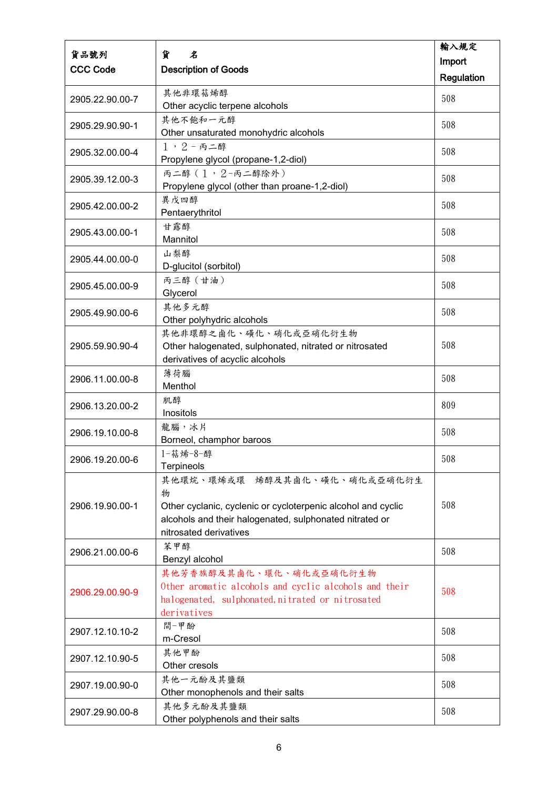| 貨品號列            | 貨<br>名                                                                                    | 輸入規定       |
|-----------------|-------------------------------------------------------------------------------------------|------------|
| <b>CCC Code</b> | <b>Description of Goods</b>                                                               | Import     |
|                 |                                                                                           | Regulation |
| 2905.22.90.00-7 | 其他非環萜烯醇                                                                                   | 508        |
|                 | Other acyclic terpene alcohols<br>其他不飽和一元醇                                                |            |
| 2905.29.90.90-1 | Other unsaturated monohydric alcohols                                                     | 508        |
| 2905.32.00.00-4 | $1, 2 - 5 =$                                                                              | 508        |
|                 | Propylene glycol (propane-1,2-diol)                                                       |            |
| 2905.39.12.00-3 | 丙二醇 (1,2-丙二醇除外)<br>Propylene glycol (other than proane-1,2-diol)                          | 508        |
|                 | 異戊四醇                                                                                      | 508        |
| 2905.42.00.00-2 | Pentaerythritol                                                                           |            |
| 2905.43.00.00-1 | 甘露醇                                                                                       | 508        |
|                 | Mannitol                                                                                  |            |
| 2905.44.00.00-0 | 山梨醇<br>D-glucitol (sorbitol)                                                              | 508        |
|                 | 丙三醇 (甘油)                                                                                  | 508        |
| 2905.45.00.00-9 | Glycerol                                                                                  |            |
| 2905.49.90.00-6 | 其他多元醇                                                                                     | 508        |
|                 | Other polyhydric alcohols                                                                 |            |
|                 | 其他非環醇之鹵化、磺化、硝化或亞硝化衍生物                                                                     |            |
| 2905.59.90.90-4 | Other halogenated, sulphonated, nitrated or nitrosated<br>derivatives of acyclic alcohols | 508        |
|                 | 薄荷腦                                                                                       |            |
| 2906.11.00.00-8 | Menthol                                                                                   | 508        |
| 2906.13.20.00-2 | 肌醇                                                                                        | 809        |
|                 | Inositols                                                                                 |            |
| 2906.19.10.00-8 | 龍腦,冰片                                                                                     | 508        |
|                 | Borneol, champhor baroos<br>1-萜烯-8-醇                                                      |            |
| 2906.19.20.00-6 | <b>Terpineols</b>                                                                         | 508        |
|                 | 其他環烷、環烯或環 烯醇及其鹵化、磺化、硝化或亞硝化衍生                                                              |            |
|                 | 物                                                                                         |            |
| 2906.19.90.00-1 | Other cyclanic, cyclenic or cycloterpenic alcohol and cyclic                              | 508        |
|                 | alcohols and their halogenated, sulphonated nitrated or                                   |            |
|                 | nitrosated derivatives                                                                    |            |
| 2906.21.00.00-6 | 苯甲醇<br>Benzyl alcohol                                                                     | 508        |
|                 | 其他芳香族醇及其鹵化、環化、硝化或亞硝化衍生物                                                                   |            |
|                 | Other aromatic alcohols and cyclic alcohols and their                                     | 508        |
| 2906.29.00.90-9 | halogenated, sulphonated, nitrated or nitrosated                                          |            |
|                 | derivatives                                                                               |            |
| 2907.12.10.10-2 | 間-甲酚                                                                                      | 508        |
|                 | m-Cresol                                                                                  |            |
| 2907.12.10.90-5 | 其他甲酚<br>Other cresols                                                                     | 508        |
|                 | 其他一元酚及其鹽類                                                                                 | 508        |
| 2907.19.00.90-0 | Other monophenols and their salts                                                         |            |
| 2907.29.90.00-8 | 其他多元酚及其鹽類                                                                                 | 508        |
|                 | Other polyphenols and their salts                                                         |            |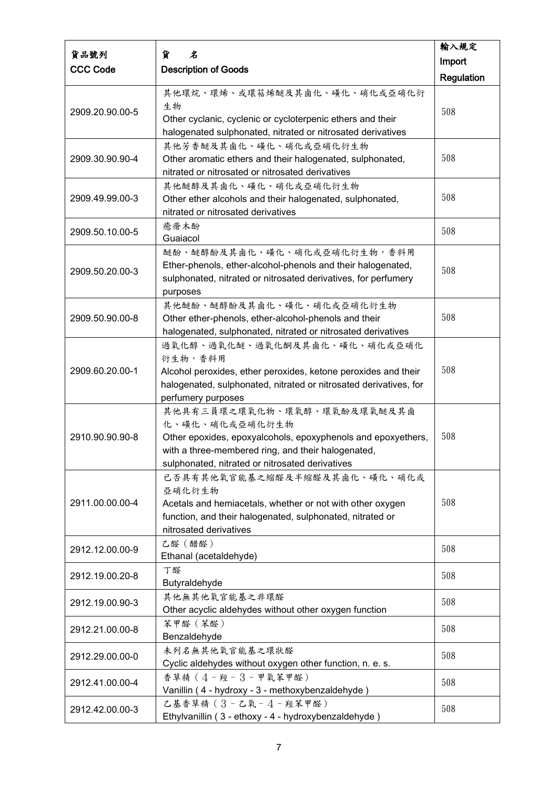|                 |                                                                                         | 輸入規定       |
|-----------------|-----------------------------------------------------------------------------------------|------------|
| 貨品號列            | 貨<br>名                                                                                  | Import     |
| <b>CCC Code</b> | <b>Description of Goods</b>                                                             | Regulation |
|                 | 其他環烷、環烯、或環萜烯醚及其鹵化、磺化、硝化或亞硝化衍                                                            |            |
| 2909.20.90.00-5 | 生物<br>Other cyclanic, cyclenic or cycloterpenic ethers and their                        | 508        |
|                 | halogenated sulphonated, nitrated or nitrosated derivatives                             |            |
|                 | 其他芳香醚及其鹵化、磺化、硝化或亞硝化衍生物                                                                  |            |
| 2909.30.90.90-4 | Other aromatic ethers and their halogenated, sulphonated,                               | 508        |
|                 | nitrated or nitrosated or nitrosated derivatives                                        |            |
|                 | 其他醚醇及其鹵化、磺化、硝化或亞硝化衍生物                                                                   |            |
| 2909.49.99.00-3 | Other ether alcohols and their halogenated, sulphonated,                                | 508        |
|                 | nitrated or nitrosated derivatives                                                      |            |
| 2909.50.10.00-5 | 癒瘡木酚                                                                                    | 508        |
|                 | Guaiacol                                                                                |            |
|                 | 醚酚、醚醇酚及其鹵化、磺化、硝化或亞硝化衍生物,香料用                                                             |            |
| 2909.50.20.00-3 | Ether-phenols, ether-alcohol-phenols and their halogenated,                             | 508        |
|                 | sulphonated, nitrated or nitrosated derivatives, for perfumery                          |            |
|                 | purposes                                                                                |            |
|                 | 其他醚酚、醚醇酚及其鹵化、磺化、硝化或亞硝化衍生物                                                               | 508        |
| 2909.50.90.00-8 | Other ether-phenols, ether-alcohol-phenols and their                                    |            |
|                 | halogenated, sulphonated, nitrated or nitrosated derivatives                            |            |
|                 | 過氧化醇、過氧化醚、過氧化酮及其鹵化、磺化、硝化或亞硝化                                                            |            |
|                 | 衍生物,香料用                                                                                 | 508        |
| 2909.60.20.00-1 | Alcohol peroxides, ether peroxides, ketone peroxides and their                          |            |
|                 | halogenated, sulphonated, nitrated or nitrosated derivatives, for<br>perfumery purposes |            |
|                 | 其他具有三員環之環氧化物、環氧醇、環氧酚及環氧醚及其鹵                                                             |            |
|                 | 化、磺化、硝化或亞硝化衍生物                                                                          |            |
| 2910.90.90.90-8 | Other epoxides, epoxyalcohols, epoxyphenols and epoxyethers,                            | 508        |
|                 | with a three-membered ring, and their halogenated,                                      |            |
|                 | sulphonated, nitrated or nitrosated derivatives                                         |            |
|                 | 已否具有其他氧官能基之缩醛及半缩醛及其鹵化、磺化、硝化或                                                            |            |
|                 | 亞硝化衍生物                                                                                  |            |
| 2911.00.00.00-4 | Acetals and hemiacetals, whether or not with other oxygen                               | 508        |
|                 | function, and their halogenated, sulphonated, nitrated or                               |            |
|                 | nitrosated derivatives                                                                  |            |
|                 | 乙醛 (醋醛)                                                                                 | 508        |
| 2912.12.00.00-9 | Ethanal (acetaldehyde)                                                                  |            |
|                 | 丁醛                                                                                      | 508        |
| 2912.19.00.20-8 | Butyraldehyde                                                                           |            |
| 2912.19.00.90-3 | 其他無其他氧官能基之非環醛                                                                           | 508        |
|                 | Other acyclic aldehydes without other oxygen function                                   |            |
| 2912.21.00.00-8 | 苯甲醛 (苯醛)                                                                                | 508        |
|                 | Benzaldehyde                                                                            |            |
| 2912.29.00.00-0 | 未列名無其他氧官能基之環狀醛                                                                          | 508        |
|                 | Cyclic aldehydes without oxygen other function, n. e. s.                                |            |
| 2912.41.00.00-4 | 香草精 (4-羥-3-甲氧苯甲醛)                                                                       | 508        |
|                 | Vanillin (4 - hydroxy - 3 - methoxybenzaldehyde)                                        |            |
| 2912.42.00.00-3 | 乙基香草精(3-乙氧-4-羥苯甲醛)                                                                      | 508        |
|                 | Ethylvanillin (3 - ethoxy - 4 - hydroxybenzaldehyde)                                    |            |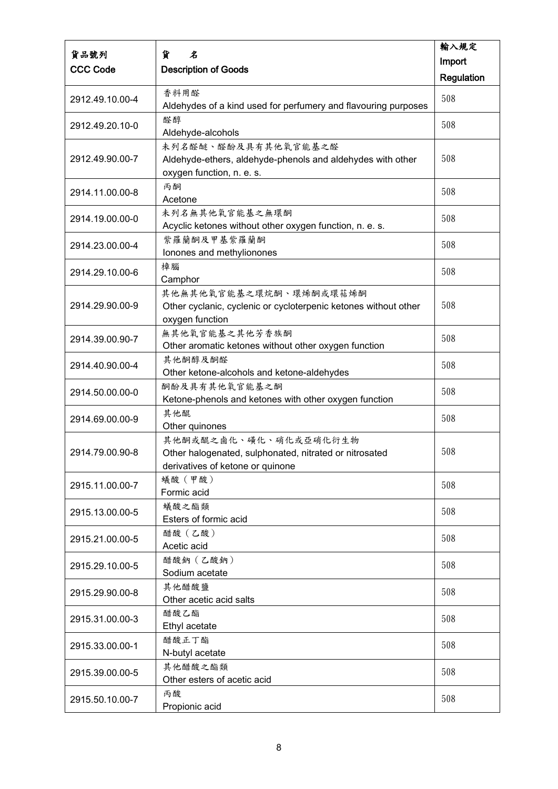|                 |                                                                                                                     | 輸入規定       |
|-----------------|---------------------------------------------------------------------------------------------------------------------|------------|
| 貨品號列            | 貨<br>名                                                                                                              | Import     |
| <b>CCC Code</b> | <b>Description of Goods</b>                                                                                         | Regulation |
| 2912.49.10.00-4 | 香料用醛<br>Aldehydes of a kind used for perfumery and flavouring purposes                                              | 508        |
| 2912.49.20.10-0 | 醛醇<br>Aldehyde-alcohols                                                                                             | 508        |
| 2912.49.90.00-7 | 未列名醛醚、醛酚及具有其他氧官能基之醛<br>Aldehyde-ethers, aldehyde-phenols and aldehydes with other<br>oxygen function, n. e. s.      | 508        |
| 2914.11.00.00-8 | 丙酮<br>Acetone                                                                                                       | 508        |
| 2914.19.00.00-0 | 未列名無其他氧官能基之無環酮<br>Acyclic ketones without other oxygen function, n. e. s.                                           | 508        |
| 2914.23.00.00-4 | 紫羅蘭酮及甲基紫羅蘭酮<br>Ionones and methylionones                                                                            | 508        |
| 2914.29.10.00-6 | 樟腦<br>Camphor                                                                                                       | 508        |
| 2914.29.90.00-9 | 其他無其他氧官能基之環烷酮、環烯酮或環萜烯酮<br>Other cyclanic, cyclenic or cycloterpenic ketones without other<br>oxygen function        | 508        |
| 2914.39.00.90-7 | 無其他氧官能基之其他芳香族酮<br>Other aromatic ketones without other oxygen function                                              | 508        |
| 2914.40.90.00-4 | 其他酮醇及酮醛<br>Other ketone-alcohols and ketone-aldehydes                                                               | 508        |
| 2914.50.00.00-0 | 酮酚及具有其他氧官能基之酮<br>Ketone-phenols and ketones with other oxygen function                                              | 508        |
| 2914.69.00.00-9 | 其他醌<br>Other quinones                                                                                               | 508        |
| 2914.79.00.90-8 | 其他酮或醌之鹵化、磺化、硝化或亞硝化衍生物<br>Other halogenated, sulphonated, nitrated or nitrosated<br>derivatives of ketone or quinone | 508        |
| 2915.11.00.00-7 | 蟻酸(甲酸)<br>Formic acid                                                                                               | 508        |
| 2915.13.00.00-5 | 蟻酸之酯類<br>Esters of formic acid                                                                                      | 508        |
| 2915.21.00.00-5 | 醋酸 (乙酸)<br>Acetic acid                                                                                              | 508        |
| 2915.29.10.00-5 | 醋酸鈉 (乙酸鈉)<br>Sodium acetate                                                                                         | 508        |
| 2915.29.90.00-8 | 其他醋酸鹽<br>Other acetic acid salts                                                                                    | 508        |
| 2915.31.00.00-3 | 醋酸乙酯<br>Ethyl acetate                                                                                               | 508        |
| 2915.33.00.00-1 | 醋酸正丁酯<br>N-butyl acetate                                                                                            | 508        |
| 2915.39.00.00-5 | 其他醋酸之酯類<br>Other esters of acetic acid                                                                              | 508        |
| 2915.50.10.00-7 | 丙酸<br>Propionic acid                                                                                                | 508        |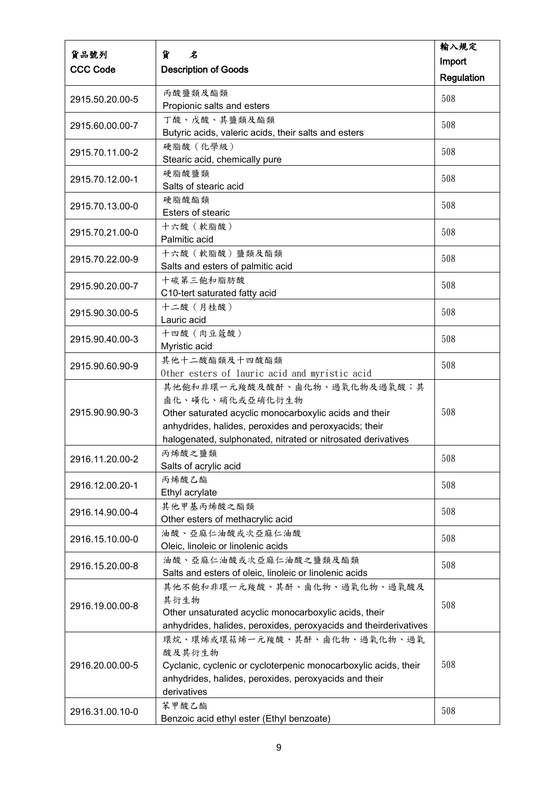|                 |                                                                                                                 | 輸入規定       |
|-----------------|-----------------------------------------------------------------------------------------------------------------|------------|
| 貨品號列            | 貨<br>名                                                                                                          | Import     |
| <b>CCC Code</b> | <b>Description of Goods</b>                                                                                     | Regulation |
|                 | 丙酸鹽類及酯類                                                                                                         |            |
| 2915.50.20.00-5 | Propionic salts and esters                                                                                      | 508        |
|                 | 丁酸、戊酸、其鹽類及酯類                                                                                                    |            |
| 2915.60.00.00-7 | Butyric acids, valeric acids, their salts and esters                                                            | 508        |
|                 | 硬脂酸(化學級)                                                                                                        |            |
| 2915.70.11.00-2 | Stearic acid, chemically pure                                                                                   | 508        |
|                 | 硬脂酸鹽類                                                                                                           |            |
| 2915.70.12.00-1 | Salts of stearic acid                                                                                           | 508        |
|                 | 硬脂酸酯類                                                                                                           | 508        |
| 2915.70.13.00-0 | Esters of stearic                                                                                               |            |
| 2915.70.21.00-0 | 十六酸 (軟脂酸)                                                                                                       | 508        |
|                 | Palmitic acid                                                                                                   |            |
| 2915.70.22.00-9 | 十六酸 (軟脂酸)鹽類及酯類                                                                                                  | 508        |
|                 | Salts and esters of palmitic acid                                                                               |            |
| 2915.90.20.00-7 | 十碳第三飽和脂肪酸                                                                                                       | 508        |
|                 | C10-tert saturated fatty acid                                                                                   |            |
| 2915.90.30.00-5 | 十二酸 (月桂酸)                                                                                                       | 508        |
|                 | Lauric acid                                                                                                     |            |
| 2915.90.40.00-3 | 十四酸 (肉豆蔻酸)                                                                                                      | 508        |
|                 | Myristic acid                                                                                                   |            |
| 2915.90.60.90-9 | 其他十二酸酯類及十四酸酯類                                                                                                   | 508        |
|                 | Other esters of lauric acid and myristic acid                                                                   |            |
|                 | 其他飽和非環一元羧酸及酸酐、鹵化物、過氧化物及過氧酸;其                                                                                    |            |
| 2915.90.90.90-3 | 鹵化、磺化、硝化或亞硝化衍生物                                                                                                 | 508        |
|                 | Other saturated acyclic monocarboxylic acids and their<br>anhydrides, halides, peroxides and peroxyacids; their |            |
|                 | halogenated, sulphonated, nitrated or nitrosated derivatives                                                    |            |
|                 | 丙烯酸之鹽類                                                                                                          |            |
| 2916.11.20.00-2 | Salts of acrylic acid                                                                                           | 508        |
|                 | 丙烯酸乙酯                                                                                                           |            |
| 2916.12.00.20-1 | Ethyl acrylate                                                                                                  | 508        |
|                 | 其他甲基丙烯酸之酯類                                                                                                      |            |
| 2916.14.90.00-4 | Other esters of methacrylic acid                                                                                | 508        |
|                 | 油酸、亞麻仁油酸或次亞麻仁油酸                                                                                                 |            |
| 2916.15.10.00-0 | Oleic, linoleic or linolenic acids                                                                              | 508        |
|                 | 油酸、亞麻仁油酸或次亞麻仁油酸之鹽類及酯類                                                                                           | 508        |
| 2916.15.20.00-8 | Salts and esters of oleic, linoleic or linolenic acids                                                          |            |
|                 | 其他不飽和非環一元羧酸、其酐、鹵化物、過氧化物、過氧酸及                                                                                    |            |
| 2916.19.00.00-8 | 其衍生物                                                                                                            | 508        |
|                 | Other unsaturated acyclic monocarboxylic acids, their                                                           |            |
|                 | anhydrides, halides, peroxides, peroxyacids and theirderivatives                                                |            |
|                 | 環烷、環烯或環萜烯一元羧酸、其酐、鹵化物、過氧化物、過氧                                                                                    |            |
|                 | 酸及其衍生物                                                                                                          |            |
| 2916.20.00.00-5 | Cyclanic, cyclenic or cycloterpenic monocarboxylic acids, their                                                 | 508        |
|                 | anhydrides, halides, peroxides, peroxyacids and their                                                           |            |
|                 | derivatives                                                                                                     |            |
| 2916.31.00.10-0 | 苯甲酸乙酯<br>Benzoic acid ethyl ester (Ethyl benzoate)                                                              | 508        |
|                 |                                                                                                                 |            |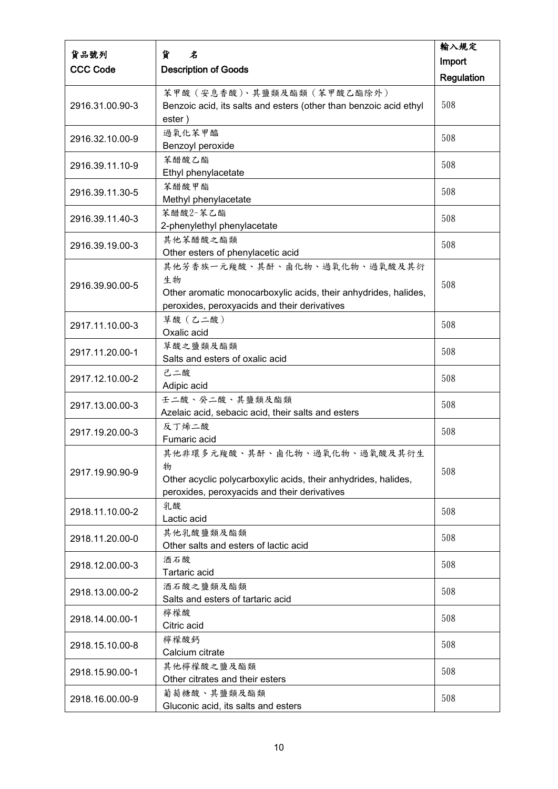|                 |                                                                   | 輸入規定       |
|-----------------|-------------------------------------------------------------------|------------|
| 貨品號列            | 貨<br>名                                                            | Import     |
| <b>CCC Code</b> | <b>Description of Goods</b>                                       | Regulation |
|                 | 苯甲酸(安息香酸)、其鹽類及酯類(苯甲酸乙酯除外)                                         |            |
| 2916.31.00.90-3 | Benzoic acid, its salts and esters (other than benzoic acid ethyl | 508        |
|                 | ester)                                                            |            |
|                 | 過氧化苯甲醯                                                            |            |
| 2916.32.10.00-9 | Benzoyl peroxide                                                  | 508        |
|                 | 苯醋酸乙酯                                                             |            |
| 2916.39.11.10-9 | Ethyl phenylacetate                                               | 508        |
|                 | 苯醋酸甲酯                                                             |            |
| 2916.39.11.30-5 | Methyl phenylacetate                                              | 508        |
|                 | 苯醋酸2-苯乙酯                                                          |            |
| 2916.39.11.40-3 | 2-phenylethyl phenylacetate                                       | 508        |
|                 | 其他苯醋酸之酯類                                                          | 508        |
| 2916.39.19.00-3 | Other esters of phenylacetic acid                                 |            |
|                 | 其他芳香族一元羧酸、其酐、鹵化物、過氧化物、過氧酸及其衍                                      |            |
| 2916.39.90.00-5 | 生物                                                                | 508        |
|                 | Other aromatic monocarboxylic acids, their anhydrides, halides,   |            |
|                 | peroxides, peroxyacids and their derivatives                      |            |
| 2917.11.10.00-3 | 草酸 (乙二酸)                                                          | 508        |
|                 | Oxalic acid                                                       |            |
| 2917.11.20.00-1 | 草酸之鹽類及酯類                                                          | 508        |
|                 | Salts and esters of oxalic acid                                   |            |
| 2917.12.10.00-2 | 己二酸                                                               | 508        |
|                 | Adipic acid                                                       |            |
| 2917.13.00.00-3 | 壬二酸、癸二酸、其鹽類及酯類                                                    | 508        |
|                 | Azelaic acid, sebacic acid, their salts and esters<br>反丁烯二酸       |            |
| 2917.19.20.00-3 | Fumaric acid                                                      | 508        |
|                 | 其他非環多元羧酸、其酐、鹵化物、過氧化物、過氧酸及其衍生                                      |            |
|                 | 物                                                                 |            |
| 2917.19.90.90-9 | Other acyclic polycarboxylic acids, their anhydrides, halides,    | 508        |
|                 | peroxides, peroxyacids and their derivatives                      |            |
|                 | 乳酸                                                                |            |
| 2918.11.10.00-2 | Lactic acid                                                       | 508        |
| 2918.11.20.00-0 | 其他乳酸鹽類及酯類                                                         | 508        |
|                 | Other salts and esters of lactic acid                             |            |
| 2918.12.00.00-3 | 酒石酸                                                               | 508        |
|                 | Tartaric acid                                                     |            |
| 2918.13.00.00-2 | 酒石酸之鹽類及酯類                                                         | 508        |
|                 | Salts and esters of tartaric acid                                 |            |
| 2918.14.00.00-1 | 檸檬酸                                                               | 508        |
|                 | Citric acid                                                       |            |
| 2918.15.10.00-8 | 檸檬酸鈣                                                              | 508        |
|                 | Calcium citrate                                                   |            |
| 2918.15.90.00-1 | 其他檸檬酸之鹽及酯類                                                        | 508        |
|                 | Other citrates and their esters                                   |            |
| 2918.16.00.00-9 | 葡萄糖酸、其鹽類及酯類                                                       | 508        |
|                 | Gluconic acid, its salts and esters                               |            |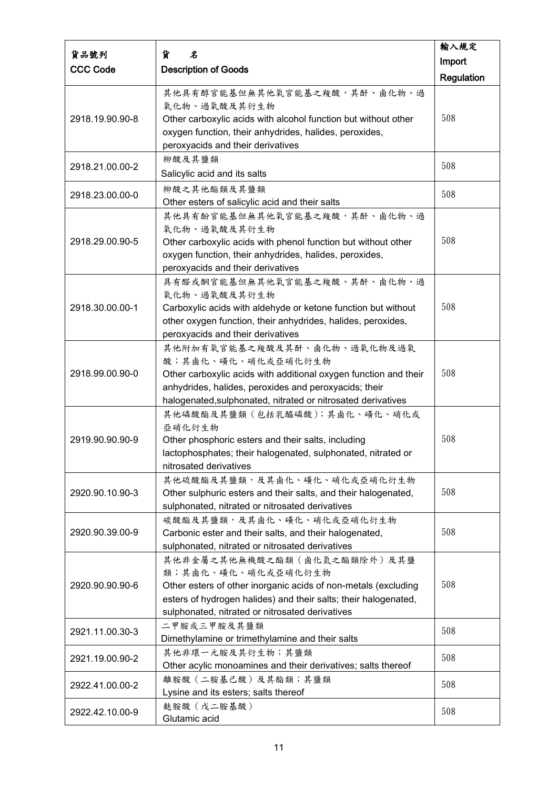|                 |                                                                  | 輸入規定              |
|-----------------|------------------------------------------------------------------|-------------------|
| 貨品號列            | 貨<br>名                                                           | Import            |
| <b>CCC Code</b> | <b>Description of Goods</b>                                      | <b>Regulation</b> |
|                 | 其他具有醇官能基但無其他氧官能基之羧酸,其酐、鹵化物、過                                     |                   |
|                 | 氧化物、過氧酸及其衍生物                                                     |                   |
| 2918.19.90.90-8 | Other carboxylic acids with alcohol function but without other   | 508               |
|                 | oxygen function, their anhydrides, halides, peroxides,           |                   |
|                 | peroxyacids and their derivatives                                |                   |
|                 | 柳酸及其鹽類                                                           |                   |
| 2918.21.00.00-2 | Salicylic acid and its salts                                     | 508               |
|                 | 柳酸之其他酯類及其鹽類                                                      |                   |
| 2918.23.00.00-0 | Other esters of salicylic acid and their salts                   | 508               |
|                 | 其他具有酚官能基但無其他氧官能基之羧酸,其酐、鹵化物、過                                     |                   |
|                 | 氧化物、過氧酸及其衍生物                                                     |                   |
| 2918.29.00.90-5 | Other carboxylic acids with phenol function but without other    | 508               |
|                 | oxygen function, their anhydrides, halides, peroxides,           |                   |
|                 | peroxyacids and their derivatives                                |                   |
|                 | 具有醛或酮官能基但無其他氧官能基之羧酸、其酐、鹵化物、過                                     |                   |
|                 | 氧化物、過氧酸及其衍生物                                                     |                   |
| 2918.30.00.00-1 | Carboxylic acids with aldehyde or ketone function but without    | 508               |
|                 | other oxygen function, their anhydrides, halides, peroxides,     |                   |
|                 | peroxyacids and their derivatives                                |                   |
|                 | 其他附加有氧官能基之羧酸及其酐、鹵化物、過氧化物及過氧                                      |                   |
|                 | 酸;其鹵化、磺化、硝化或亞硝化衍生物                                               |                   |
| 2918.99.00.90-0 | Other carboxylic acids with additional oxygen function and their | 508               |
|                 | anhydrides, halides, peroxides and peroxyacids; their            |                   |
|                 | halogenated, sulphonated, nitrated or nitrosated derivatives     |                   |
|                 | 其他磷酸酯及其鹽類 (包括乳醯磷酸);其鹵化、磺化、硝化或                                    |                   |
|                 | 亞硝化衍生物                                                           |                   |
| 2919.90.90.90-9 | Other phosphoric esters and their salts, including               | 508               |
|                 | lactophosphates; their halogenated, sulphonated, nitrated or     |                   |
|                 | nitrosated derivatives<br>其他硫酸酯及其鹽類,及其鹵化、磺化、硝化或亞硝化衍生物            |                   |
| 2920.90.10.90-3 | Other sulphuric esters and their salts, and their halogenated,   | 508               |
|                 | sulphonated, nitrated or nitrosated derivatives                  |                   |
|                 | 碳酸酯及其鹽類,及其鹵化、磺化、硝化或亞硝化衍生物                                        |                   |
| 2920.90.39.00-9 | Carbonic ester and their salts, and their halogenated,           | 508               |
|                 | sulphonated, nitrated or nitrosated derivatives                  |                   |
|                 | 其他非金屬之其他無機酸之酯類(鹵化氫之酯類除外)及其鹽                                      |                   |
|                 | 類;其鹵化、磺化、硝化或亞硝化衍生物                                               |                   |
| 2920.90.90.90-6 | Other esters of other inorganic acids of non-metals (excluding   | 508               |
|                 | esters of hydrogen halides) and their salts; their halogenated,  |                   |
|                 | sulphonated, nitrated or nitrosated derivatives                  |                   |
|                 | 二甲胺或三甲胺及其鹽類                                                      |                   |
| 2921.11.00.30-3 | Dimethylamine or trimethylamine and their salts                  | 508               |
|                 | 其他非環一元胺及其衍生物;其鹽類                                                 |                   |
| 2921.19.00.90-2 | Other acylic monoamines and their derivatives; salts thereof     | 508               |
|                 | 離胺酸 (二胺基己酸)及其酯類;其鹽類                                              | 508               |
| 2922.41.00.00-2 | Lysine and its esters; salts thereof                             |                   |
|                 | 麩胺酸(戊二胺基酸)                                                       | 508               |
| 2922.42.10.00-9 | Glutamic acid                                                    |                   |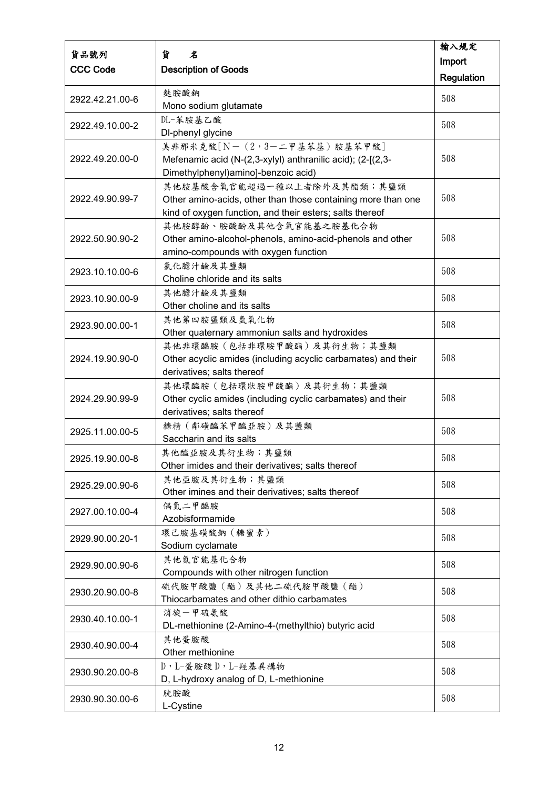| 貨品號列            | 貨<br>名                                                        | 輸入規定              |
|-----------------|---------------------------------------------------------------|-------------------|
|                 |                                                               | Import            |
| <b>CCC Code</b> | <b>Description of Goods</b>                                   | <b>Regulation</b> |
| 2922.42.21.00-6 | 麩胺酸鈉                                                          | 508               |
|                 | Mono sodium glutamate                                         |                   |
| 2922.49.10.00-2 | DL-苯胺基乙酸                                                      | 508               |
|                 | DI-phenyl glycine                                             |                   |
|                 | 美非那米克酸 [N-(2,3-二甲基苯基)胺基苯甲酸]                                   |                   |
| 2922.49.20.00-0 | Mefenamic acid (N-(2,3-xylyl) anthranilic acid); (2-[(2,3-    | 508               |
|                 | Dimethylphenyl)amino]-benzoic acid)                           |                   |
|                 | 其他胺基酸含氧官能超過一種以上者除外及其酯類;其鹽類                                    |                   |
| 2922.49.90.99-7 | Other amino-acids, other than those containing more than one  | 508               |
|                 | kind of oxygen function, and their esters; salts thereof      |                   |
| 2922.50.90.90-2 | 其他胺醇酚、胺酸酚及其他含氧官能基之胺基化合物                                       | 508               |
|                 | Other amino-alcohol-phenols, amino-acid-phenols and other     |                   |
|                 | amino-compounds with oxygen function<br>氯化膽汁鹼及其鹽類             |                   |
| 2923.10.10.00-6 | Choline chloride and its salts                                | 508               |
|                 | 其他膽汁鹼及其鹽類                                                     |                   |
| 2923.10.90.00-9 | Other choline and its salts                                   | 508               |
|                 | 其他第四胺鹽類及氫氧化物                                                  |                   |
| 2923.90.00.00-1 | Other quaternary ammoniun salts and hydroxides                | 508               |
|                 | 其他非環醯胺 (包括非環胺甲酸酯)及其衍生物;其鹽類                                    |                   |
| 2924.19.90.90-0 | Other acyclic amides (including acyclic carbamates) and their | 508               |
|                 | derivatives; salts thereof                                    |                   |
|                 | 其他環醯胺(包括環狀胺甲酸酯)及其衍生物;其鹽類                                      |                   |
| 2924.29.90.99-9 | Other cyclic amides (including cyclic carbamates) and their   | 508               |
|                 | derivatives; salts thereof                                    |                   |
| 2925.11.00.00-5 | 糖精(鄰磺醯苯甲醯亞胺)及其鹽類                                              | 508               |
|                 | Saccharin and its salts                                       |                   |
| 2925.19.90.00-8 | 其他醯亞胺及其衍生物;其鹽類                                                | 508               |
|                 | Other imides and their derivatives; salts thereof             |                   |
| 2925.29.00.90-6 | 其他亞胺及其衍生物;其鹽類                                                 | 508               |
|                 | Other imines and their derivatives; salts thereof             |                   |
| 2927.00.10.00-4 | 偶氮二甲醯胺                                                        | 508               |
|                 | Azobisformamide                                               |                   |
| 2929.90.00.20-1 | 環己胺基磺酸鈉 (糖蜜素)<br>Sodium cyclamate                             | 508               |
|                 | 其他氮官能基化合物                                                     |                   |
| 2929.90.00.90-6 | Compounds with other nitrogen function                        | 508               |
|                 | 硫代胺甲酸鹽(酯)及其他二硫代胺甲酸鹽(酯)                                        |                   |
| 2930.20.90.00-8 | Thiocarbamates and other dithio carbamates                    | 508               |
|                 | 消旋一甲硫氨酸                                                       |                   |
| 2930.40.10.00-1 | DL-methionine (2-Amino-4-(methylthio) butyric acid            | 508               |
|                 | 其他蛋胺酸                                                         |                   |
| 2930.40.90.00-4 | Other methionine                                              | 508               |
|                 | D, L-蛋胺酸 D, L-羥基異構物                                           |                   |
| 2930.90.20.00-8 | D, L-hydroxy analog of D, L-methionine                        | 508               |
|                 | 胱胺酸                                                           | 508               |
| 2930.90.30.00-6 | L-Cystine                                                     |                   |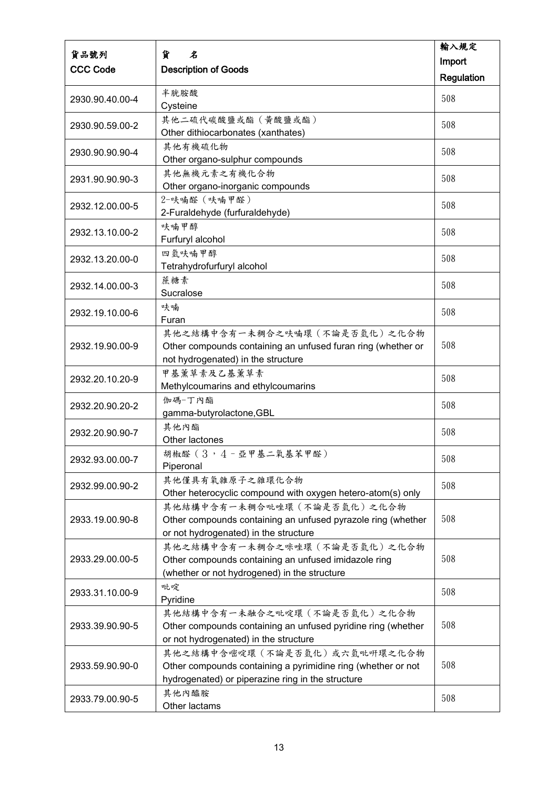|                 |                                                              | 輸入規定       |
|-----------------|--------------------------------------------------------------|------------|
| 貨品號列            | 貨<br>名                                                       | Import     |
| <b>CCC Code</b> | <b>Description of Goods</b>                                  | Regulation |
|                 | 半胱胺酸                                                         |            |
| 2930.90.40.00-4 | Cysteine                                                     | 508        |
|                 | 其他二硫代碳酸鹽或酯 (黃酸鹽或酯)                                           | 508        |
| 2930.90.59.00-2 | Other dithiocarbonates (xanthates)                           |            |
| 2930.90.90.90-4 | 其他有機硫化物                                                      | 508        |
|                 | Other organo-sulphur compounds                               |            |
| 2931.90.90.90-3 | 其他無機元素之有機化合物                                                 | 508        |
|                 | Other organo-inorganic compounds                             |            |
| 2932.12.00.00-5 | 2-呋喃醛 (呋喃甲醛)<br>2-Furaldehyde (furfuraldehyde)               | 508        |
|                 | 呋喃甲醇                                                         |            |
| 2932.13.10.00-2 | Furfuryl alcohol                                             | 508        |
|                 | 四氫呋喃甲醇                                                       |            |
| 2932.13.20.00-0 | Tetrahydrofurfuryl alcohol                                   | 508        |
| 2932.14.00.00-3 | 蔗糖素                                                          | 508        |
|                 | Sucralose                                                    |            |
| 2932.19.10.00-6 | 呋喃                                                           | 508        |
|                 | Furan                                                        |            |
|                 | 其他之結構中含有一未稠合之呋喃環 (不論是否氫化)之化合物                                |            |
| 2932.19.90.00-9 | Other compounds containing an unfused furan ring (whether or | 508        |
|                 | not hydrogenated) in the structure                           |            |
| 2932.20.10.20-9 | 甲基薰草素及乙基薰草素<br>Methylcoumarins and ethylcoumarins            | 508        |
|                 | 伽碼-丁內酯                                                       |            |
| 2932.20.90.20-2 | gamma-butyrolactone, GBL                                     | 508        |
|                 | 其他內酯                                                         |            |
| 2932.20.90.90-7 | Other lactones                                               | 508        |
| 2932.93.00.00-7 | 胡椒醛 (3,4-亞甲基二氧基苯甲醛)                                          | 508        |
|                 | Piperonal                                                    |            |
| 2932.99.00.90-2 | 其他僅具有氧雜原子之雜環化合物                                              | 508        |
|                 | Other heterocyclic compound with oxygen hetero-atom(s) only  |            |
|                 | 其他結構中含有一未稠合吡唑環 (不論是否氫化) 之化合物                                 |            |
| 2933.19.00.90-8 | Other compounds containing an unfused pyrazole ring (whether | 508        |
|                 | or not hydrogenated) in the structure                        |            |
|                 | 其他之結構中含有一未稠合之咪唑環 (不論是否氫化) 之化合物                               |            |
| 2933.29.00.00-5 | Other compounds containing an unfused imidazole ring         | 508        |
|                 | (whether or not hydrogened) in the structure<br>吡啶           |            |
| 2933.31.10.00-9 | Pyridine                                                     | 508        |
|                 | 其他結構中含有一未融合之吡啶環 (不論是否氫化)之化合物                                 |            |
| 2933.39.90.90-5 | Other compounds containing an unfused pyridine ring (whether | 508        |
|                 | or not hydrogenated) in the structure                        |            |
|                 | 其他之結構中含嘧啶環(不論是否氫化)或六氫吡咞環之化合物                                 |            |
| 2933.59.90.90-0 | Other compounds containing a pyrimidine ring (whether or not | 508        |
|                 | hydrogenated) or piperazine ring in the structure            |            |
| 2933.79.00.90-5 | 其他內醯胺                                                        | 508        |
|                 | Other lactams                                                |            |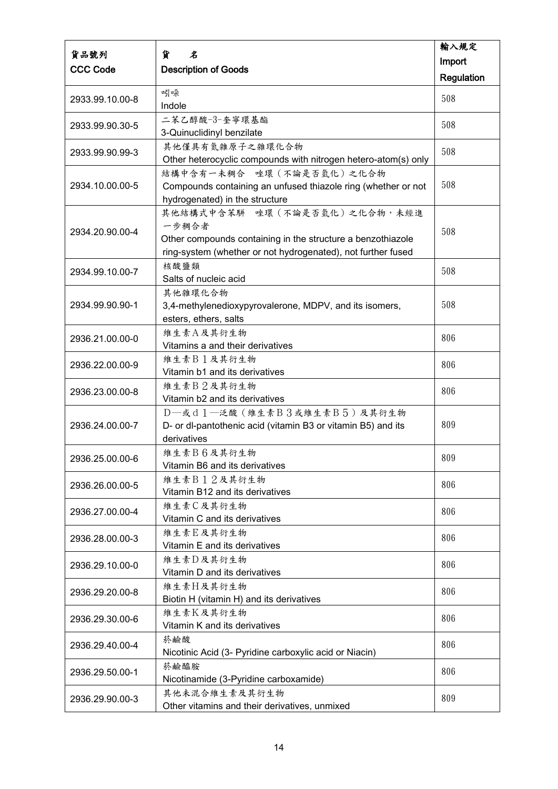| 貨品號列            | 貨<br>名                                                                                     | 輸入規定              |
|-----------------|--------------------------------------------------------------------------------------------|-------------------|
| <b>CCC Code</b> |                                                                                            | Import            |
|                 | <b>Description of Goods</b>                                                                | <b>Regulation</b> |
|                 | 吲哚                                                                                         | 508               |
| 2933.99.10.00-8 | Indole                                                                                     |                   |
| 2933.99.90.30-5 | 二苯乙醇酸-3-奎寧環基酯                                                                              | 508               |
|                 | 3-Quinuclidinyl benzilate                                                                  |                   |
| 2933.99.90.99-3 | 其他僅具有氮雜原子之雜環化合物                                                                            | 508               |
|                 | Other heterocyclic compounds with nitrogen hetero-atom(s) only                             |                   |
| 2934.10.00.00-5 | 結構中含有一未稠合 唑環 (不論是否氫化)之化合物<br>Compounds containing an unfused thiazole ring (whether or not | 508               |
|                 | hydrogenated) in the structure                                                             |                   |
|                 | 其他結構式中含苯駢 唑環 (不論是否氫化)之化合物,未經進                                                              |                   |
|                 | 一步稠合者                                                                                      |                   |
| 2934.20.90.00-4 | Other compounds containing in the structure a benzothiazole                                | 508               |
|                 | ring-system (whether or not hydrogenated), not further fused                               |                   |
|                 | 核酸鹽類                                                                                       | 508               |
| 2934.99.10.00-7 | Salts of nucleic acid                                                                      |                   |
|                 | 其他雜環化合物                                                                                    |                   |
| 2934.99.90.90-1 | 3,4-methylenedioxypyrovalerone, MDPV, and its isomers,                                     | 508               |
|                 | esters, ethers, salts                                                                      |                   |
| 2936.21.00.00-0 | 維生素A及其衍生物                                                                                  | 806               |
|                 | Vitamins a and their derivatives                                                           |                   |
| 2936.22.00.00-9 | 維生素B1及其衍生物                                                                                 | 806               |
|                 | Vitamin b1 and its derivatives                                                             |                   |
| 2936.23.00.00-8 | 維生素B2及其衍生物<br>Vitamin b2 and its derivatives                                               | 806               |
|                 | D-或d1-泛酸(維生素B3或維生素B5)及其衍生物                                                                 |                   |
| 2936.24.00.00-7 | D- or dl-pantothenic acid (vitamin B3 or vitamin B5) and its                               | 809               |
|                 | derivatives                                                                                |                   |
|                 | 維生素B6及其衍生物                                                                                 |                   |
| 2936.25.00.00-6 | Vitamin B6 and its derivatives                                                             | 809               |
|                 | 維生素B12及其衍生物                                                                                | 806               |
| 2936.26.00.00-5 | Vitamin B12 and its derivatives                                                            |                   |
| 2936.27.00.00-4 | 維生素C及其衍生物                                                                                  | 806               |
|                 | Vitamin C and its derivatives                                                              |                   |
| 2936.28.00.00-3 | 維生素E及其衍生物                                                                                  | 806               |
|                 | Vitamin E and its derivatives                                                              |                   |
| 2936.29.10.00-0 | 維生素D及其衍生物                                                                                  | 806               |
|                 | Vitamin D and its derivatives                                                              |                   |
| 2936.29.20.00-8 | 维生素H及其衍生物                                                                                  | 806               |
|                 | Biotin H (vitamin H) and its derivatives                                                   |                   |
| 2936.29.30.00-6 | 維生素K及其衍生物<br>Vitamin K and its derivatives                                                 | 806               |
|                 | 菸鹼酸                                                                                        |                   |
| 2936.29.40.00-4 | Nicotinic Acid (3- Pyridine carboxylic acid or Niacin)                                     | 806               |
| 2936.29.50.00-1 | 菸鹼醯胺                                                                                       |                   |
|                 | Nicotinamide (3-Pyridine carboxamide)                                                      | 806               |
|                 | 其他未混合維生素及其衍生物                                                                              | 809               |
| 2936.29.90.00-3 | Other vitamins and their derivatives, unmixed                                              |                   |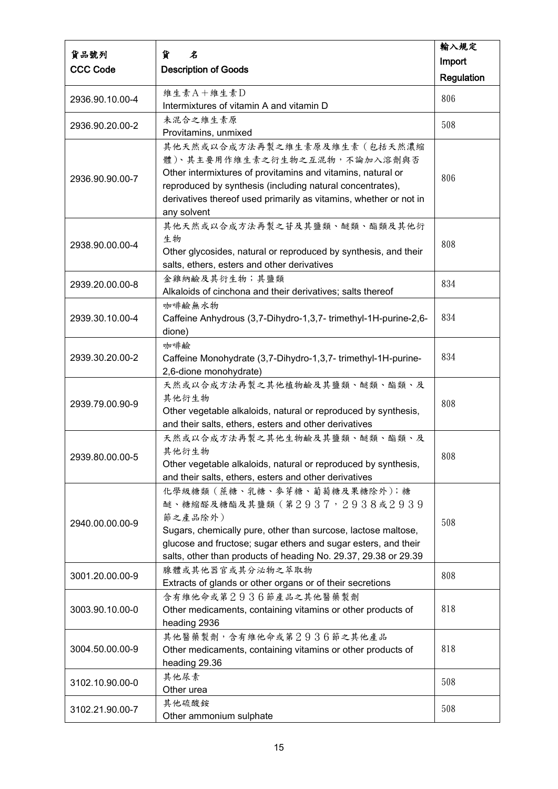|                 |                                                                                             | 輸入規定       |
|-----------------|---------------------------------------------------------------------------------------------|------------|
| 貨品號列            | 貨<br>名                                                                                      | Import     |
| <b>CCC Code</b> | <b>Description of Goods</b>                                                                 | Regulation |
|                 | 維生素A+維生素D                                                                                   | 806        |
| 2936.90.10.00-4 | Intermixtures of vitamin A and vitamin D                                                    |            |
| 2936.90.20.00-2 | 未混合之維生素原                                                                                    | 508        |
|                 | Provitamins, unmixed                                                                        |            |
|                 | 其他天然或以合成方法再製之維生素原及維生素(包括天然濃縮                                                                |            |
|                 | 體)、其主要用作維生素之衍生物之互混物,不論加入溶劑與否<br>Other intermixtures of provitamins and vitamins, natural or |            |
| 2936.90.90.00-7 | reproduced by synthesis (including natural concentrates),                                   | 806        |
|                 | derivatives thereof used primarily as vitamins, whether or not in                           |            |
|                 | any solvent                                                                                 |            |
|                 | 其他天然或以合成方法再製之苷及其鹽類、醚類、酯類及其他衍                                                                |            |
|                 | 生物                                                                                          |            |
| 2938.90.00.00-4 | Other glycosides, natural or reproduced by synthesis, and their                             | 808        |
|                 | salts, ethers, esters and other derivatives                                                 |            |
| 2939.20.00.00-8 | 金雞納鹼及其衍生物;其鹽類                                                                               | 834        |
|                 | Alkaloids of cinchona and their derivatives; salts thereof                                  |            |
|                 | 咖啡鹼無水物                                                                                      |            |
| 2939.30.10.00-4 | Caffeine Anhydrous (3,7-Dihydro-1,3,7- trimethyl-1H-purine-2,6-                             | 834        |
|                 | dione)                                                                                      |            |
|                 | 咖啡鹼                                                                                         |            |
| 2939.30.20.00-2 | Caffeine Monohydrate (3,7-Dihydro-1,3,7-trimethyl-1H-purine-                                | 834        |
|                 | 2,6-dione monohydrate)                                                                      |            |
|                 | 天然或以合成方法再製之其他植物鹼及其鹽類、醚類、酯類、及<br>其他衍生物                                                       |            |
| 2939.79.00.90-9 | Other vegetable alkaloids, natural or reproduced by synthesis,                              | 808        |
|                 | and their salts, ethers, esters and other derivatives                                       |            |
|                 | 天然或以合成方法再製之其他生物鹼及其鹽類、醚類、酯類、及                                                                |            |
|                 | 其他衍生物                                                                                       |            |
| 2939.80.00.00-5 | Other vegetable alkaloids, natural or reproduced by synthesis,                              | 808        |
|                 | and their salts, ethers, esters and other derivatives                                       |            |
|                 | 化學級糖類 (蔗糖、乳糖、麥芽糖、葡萄糖及果糖除外);糖                                                                |            |
|                 | 醚、糖縮醛及糖酯及其鹽類(第2937,2938或2939                                                                |            |
| 2940.00.00.00-9 | 節之產品除外)                                                                                     | 508        |
|                 | Sugars, chemically pure, other than surcose, lactose maltose,                               |            |
|                 | glucose and fructose; sugar ethers and sugar esters, and their                              |            |
|                 | salts, other than products of heading No. 29.37, 29.38 or 29.39                             |            |
| 3001.20.00.00-9 | 腺體或其他器官或其分泌物之萃取物                                                                            | 808        |
|                 | Extracts of glands or other organs or of their secretions                                   |            |
| 3003.90.10.00-0 | 含有維他命或第2936節產品之其他醫藥製劑<br>Other medicaments, containing vitamins or other products of        | 818        |
|                 | heading 2936                                                                                |            |
|                 | 其他醫藥製劑,含有維他命或第2936節之其他產品                                                                    |            |
| 3004.50.00.00-9 | Other medicaments, containing vitamins or other products of                                 | 818        |
|                 | heading 29.36                                                                               |            |
|                 | 其他尿素                                                                                        |            |
| 3102.10.90.00-0 | Other urea                                                                                  | 508        |
|                 | 其他硫酸銨                                                                                       | 508        |
| 3102.21.90.00-7 | Other ammonium sulphate                                                                     |            |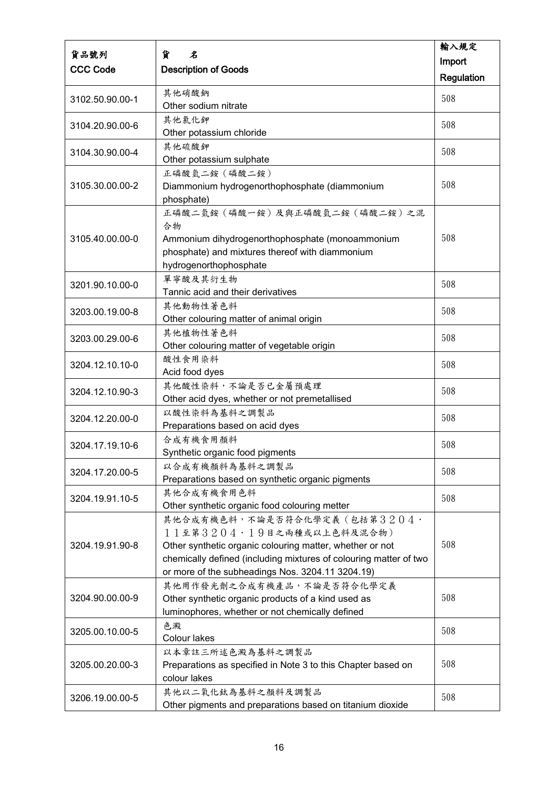|                 | 貨<br>名                                                                           | 輸入規定              |
|-----------------|----------------------------------------------------------------------------------|-------------------|
| 貨品號列            |                                                                                  | Import            |
| <b>CCC Code</b> | <b>Description of Goods</b>                                                      | <b>Regulation</b> |
|                 | 其他硝酸鈉                                                                            | 508               |
| 3102.50.90.00-1 | Other sodium nitrate                                                             |                   |
| 3104.20.90.00-6 | 其他氯化鉀                                                                            | 508               |
|                 | Other potassium chloride                                                         |                   |
| 3104.30.90.00-4 | 其他硫酸鉀                                                                            | 508               |
|                 | Other potassium sulphate<br>正磷酸氫二銨 (磷酸二銨)                                        |                   |
| 3105.30.00.00-2 | Diammonium hydrogenorthophosphate (diammonium                                    | 508               |
|                 | phosphate)                                                                       |                   |
|                 | 正磷酸二氫銨 (磷酸一銨)及與正磷酸氫二銨 (磷酸二銨)之混                                                   |                   |
|                 | 合物                                                                               |                   |
| 3105.40.00.00-0 | Ammonium dihydrogenorthophosphate (monoammonium                                  | 508               |
|                 | phosphate) and mixtures thereof with diammonium                                  |                   |
|                 | hydrogenorthophosphate                                                           |                   |
| 3201.90.10.00-0 | 單寧酸及其衍生物                                                                         | 508               |
|                 | Tannic acid and their derivatives                                                |                   |
| 3203.00.19.00-8 | 其他動物性著色料<br>Other colouring matter of animal origin                              | 508               |
|                 | 其他植物性著色料                                                                         |                   |
| 3203.00.29.00-6 | Other colouring matter of vegetable origin                                       | 508               |
|                 | 酸性食用染料                                                                           |                   |
| 3204.12.10.10-0 | Acid food dyes                                                                   | 508               |
| 3204.12.10.90-3 | 其他酸性染料,不論是否已金屬預處理                                                                | 508               |
|                 | Other acid dyes, whether or not premetallised                                    |                   |
| 3204.12.20.00-0 | 以酸性染料為基料之調製品                                                                     | 508               |
|                 | Preparations based on acid dyes                                                  |                   |
| 3204.17.19.10-6 | 合成有機食用顏料                                                                         | 508               |
|                 | Synthetic organic food pigments                                                  |                   |
| 3204.17.20.00-5 | 以合成有機顏料為基料之調製品<br>Preparations based on synthetic organic pigments               | 508               |
|                 | 其他合成有機食用色料                                                                       |                   |
| 3204.19.91.10-5 | Other synthetic organic food colouring metter                                    | 508               |
|                 | 其他合成有機色料,不論是否符合化學定義(包括第3204·                                                     |                   |
|                 | 11至第3204·19目之兩種或以上色料及混合物)                                                        |                   |
| 3204.19.91.90-8 | Other synthetic organic colouring matter, whether or not                         | 508               |
|                 | chemically defined (including mixtures of colouring matter of two                |                   |
|                 | or more of the subheadings Nos. 3204.11 3204.19)                                 |                   |
|                 | 其他用作發光劑之合成有機產品,不論是否符合化學定義                                                        |                   |
| 3204.90.00.00-9 | Other synthetic organic products of a kind used as                               | 508               |
|                 | luminophores, whether or not chemically defined                                  |                   |
| 3205.00.10.00-5 | 色澱                                                                               | 508               |
|                 | Colour lakes                                                                     |                   |
| 3205.00.20.00-3 | 以本章註三所述色澱為基料之調製品<br>Preparations as specified in Note 3 to this Chapter based on | 508               |
|                 | colour lakes                                                                     |                   |
| 3206.19.00.00-5 | 其他以二氧化鈦為基料之顏料及調製品                                                                |                   |
|                 | Other pigments and preparations based on titanium dioxide                        | 508               |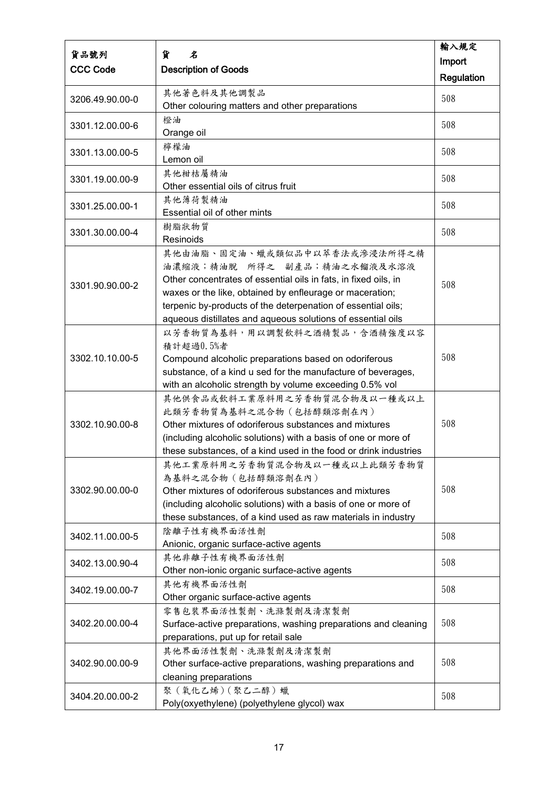| 貨品號列            | 貨<br>名                                                                                                                          | 輸入規定       |
|-----------------|---------------------------------------------------------------------------------------------------------------------------------|------------|
|                 |                                                                                                                                 | Import     |
| <b>CCC Code</b> | <b>Description of Goods</b>                                                                                                     | Regulation |
|                 | 其他著色料及其他調製品                                                                                                                     |            |
| 3206.49.90.00-0 | Other colouring matters and other preparations                                                                                  | 508        |
|                 | 橙油                                                                                                                              | 508        |
| 3301.12.00.00-6 | Orange oil                                                                                                                      |            |
| 3301.13.00.00-5 | 檸檬油                                                                                                                             | 508        |
|                 | Lemon oil                                                                                                                       |            |
| 3301.19.00.00-9 | 其他柑桔屬精油                                                                                                                         | 508        |
|                 | Other essential oils of citrus fruit                                                                                            |            |
| 3301.25.00.00-1 | 其他薄荷製精油                                                                                                                         | 508        |
|                 | Essential oil of other mints                                                                                                    |            |
| 3301.30.00.00-4 | 樹脂狀物質                                                                                                                           | 508        |
|                 | Resinoids                                                                                                                       |            |
|                 | 其他由油脂、固定油、蠟或類似品中以萃香法或滲浸法所得之精<br>油濃縮液;精油脫 所得之 副產品;精油之水餾液及水溶液                                                                     |            |
|                 | Other concentrates of essential oils in fats, in fixed oils, in                                                                 |            |
| 3301.90.90.00-2 | waxes or the like, obtained by enfleurage or maceration;                                                                        | 508        |
|                 | terpenic by-products of the deterpenation of essential oils;                                                                    |            |
|                 | aqueous distillates and aqueous solutions of essential oils                                                                     |            |
|                 | 以芳香物質為基料,用以調製飲料之酒精製品,含酒精強度以容                                                                                                    |            |
|                 | 積計超過0.5%者                                                                                                                       |            |
| 3302.10.10.00-5 | Compound alcoholic preparations based on odoriferous                                                                            | 508        |
|                 | substance, of a kind u sed for the manufacture of beverages,                                                                    |            |
|                 | with an alcoholic strength by volume exceeding 0.5% vol                                                                         |            |
|                 | 其他供食品或飲料工業原料用之芳香物質混合物及以一種或以上                                                                                                    |            |
|                 | 此類芳香物質為基料之混合物 (包括醇類溶劑在內)                                                                                                        |            |
| 3302.10.90.00-8 | Other mixtures of odoriferous substances and mixtures                                                                           | 508        |
|                 | (including alcoholic solutions) with a basis of one or more of                                                                  |            |
|                 | these substances, of a kind used in the food or drink industries                                                                |            |
|                 | 其他工業原料用之芳香物質混合物及以一種或以上此類芳香物質                                                                                                    |            |
|                 | 為基料之混合物 (包括醇類溶劑在內)                                                                                                              | 508        |
| 3302.90.00.00-0 | Other mixtures of odoriferous substances and mixtures                                                                           |            |
|                 | (including alcoholic solutions) with a basis of one or more of<br>these substances, of a kind used as raw materials in industry |            |
|                 | 陰離子性有機界面活性劑                                                                                                                     |            |
| 3402.11.00.00-5 | Anionic, organic surface-active agents                                                                                          | 508        |
|                 | 其他非離子性有機界面活性劑                                                                                                                   |            |
| 3402.13.00.90-4 | Other non-ionic organic surface-active agents                                                                                   | 508        |
|                 | 其他有機界面活性劑                                                                                                                       |            |
| 3402.19.00.00-7 | Other organic surface-active agents                                                                                             | 508        |
|                 | 零售包裝界面活性製劑、洗滌製劑及清潔製劑                                                                                                            |            |
| 3402.20.00.00-4 | Surface-active preparations, washing preparations and cleaning                                                                  | 508        |
|                 | preparations, put up for retail sale                                                                                            |            |
|                 | 其他界面活性製劑、洗滌製劑及清潔製劑                                                                                                              |            |
| 3402.90.00.00-9 | Other surface-active preparations, washing preparations and                                                                     | 508        |
|                 | cleaning preparations                                                                                                           |            |
| 3404.20.00.00-2 | 聚(氧化乙烯)(聚乙二醇)蠟                                                                                                                  | 508        |
|                 | Poly(oxyethylene) (polyethylene glycol) wax                                                                                     |            |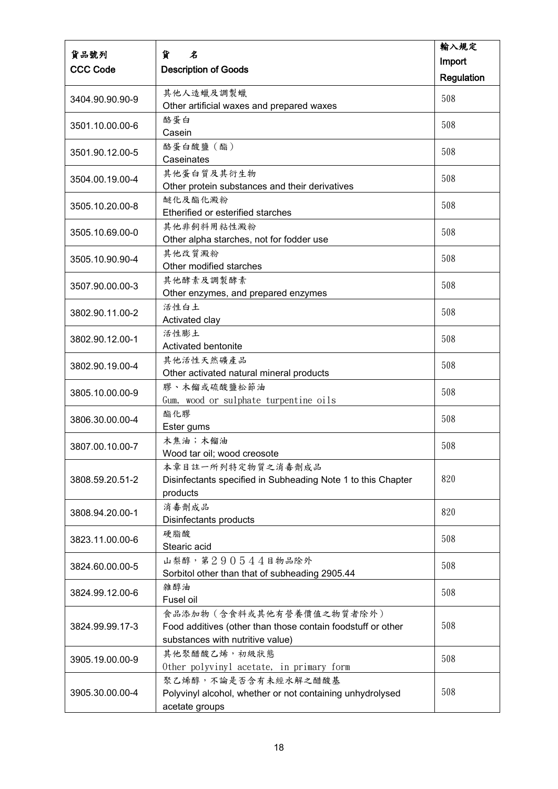|                 |                                                                             | 輸入規定       |
|-----------------|-----------------------------------------------------------------------------|------------|
| 貨品號列            | 貨<br>名                                                                      | Import     |
| <b>CCC Code</b> | <b>Description of Goods</b>                                                 | Regulation |
|                 | 其他人造蠟及調製蠟                                                                   |            |
| 3404.90.90.90-9 | Other artificial waxes and prepared waxes                                   | 508        |
|                 | 酪蛋白                                                                         | 508        |
| 3501.10.00.00-6 | Casein                                                                      |            |
| 3501.90.12.00-5 | 酪蛋白酸鹽 (酯)                                                                   | 508        |
|                 | Caseinates                                                                  |            |
| 3504.00.19.00-4 | 其他蛋白質及其衍生物                                                                  | 508        |
|                 | Other protein substances and their derivatives                              |            |
| 3505.10.20.00-8 | 醚化及酯化澱粉                                                                     | 508        |
|                 | Etherified or esterified starches                                           |            |
| 3505.10.69.00-0 | 其他非飼料用粘性澱粉                                                                  | 508        |
|                 | Other alpha starches, not for fodder use                                    |            |
| 3505.10.90.90-4 | 其他改質澱粉<br>Other modified starches                                           | 508        |
|                 | 其他酵素及調製酵素                                                                   |            |
| 3507.90.00.00-3 | Other enzymes, and prepared enzymes                                         | 508        |
|                 | 活性白土                                                                        |            |
| 3802.90.11.00-2 | Activated clay                                                              | 508        |
|                 | 活性膨土                                                                        |            |
| 3802.90.12.00-1 | Activated bentonite                                                         | 508        |
| 3802.90.19.00-4 | 其他活性天然礦產品                                                                   | 508        |
|                 | Other activated natural mineral products                                    |            |
| 3805.10.00.00-9 | 膠、木餾或硫酸鹽松節油                                                                 | 508        |
|                 | Gum, wood or sulphate turpentine oils                                       |            |
| 3806.30.00.00-4 | 酯化膠                                                                         | 508        |
|                 | Ester gums                                                                  |            |
| 3807.00.10.00-7 | 木焦油;木餾油                                                                     | 508        |
|                 | Wood tar oil; wood creosote                                                 |            |
| 3808.59.20.51-2 | 本章目註一所列特定物質之消毒劑成品                                                           | 820        |
|                 | Disinfectants specified in Subheading Note 1 to this Chapter<br>products    |            |
|                 | 消毒劑成品                                                                       |            |
| 3808.94.20.00-1 | Disinfectants products                                                      | 820        |
|                 | 硬脂酸                                                                         |            |
| 3823.11.00.00-6 | Stearic acid                                                                | 508        |
|                 | 山梨醇, 第290544目物品除外                                                           | 508        |
| 3824.60.00.00-5 | Sorbitol other than that of subheading 2905.44                              |            |
| 3824.99.12.00-6 | 雜醇油                                                                         | 508        |
|                 | Fusel oil                                                                   |            |
|                 | 食品添加物(含食料或其他有營養價值之物質者除外)                                                    |            |
| 3824.99.99.17-3 | Food additives (other than those contain foodstuff or other                 | 508        |
|                 | substances with nutritive value)                                            |            |
| 3905.19.00.00-9 | 其他聚醋酸乙烯,初級狀態                                                                | 508        |
|                 | Other polyvinyl acetate, in primary form                                    |            |
| 3905.30.00.00-4 | 聚乙烯醇,不論是否含有未經水解之醋酸基                                                         | 508        |
|                 | Polyvinyl alcohol, whether or not containing unhydrolysed<br>acetate groups |            |
|                 |                                                                             |            |